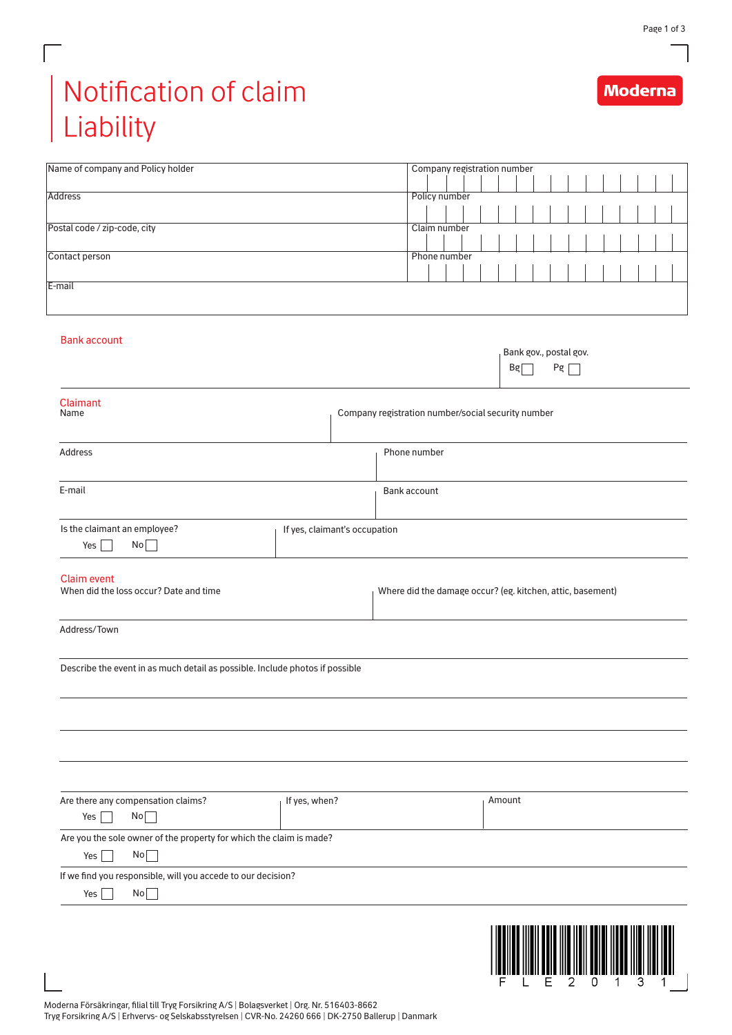**Moderna** 

## Notification of claim Liability

Г

| Policy number<br><b>Address</b><br>Postal code / zip-code, city<br>Claim number<br>Contact person<br>Phone number<br>E-mail<br><b>Bank account</b><br>Bank gov., postal gov.<br>$Pg \Box$<br>Bg<br>Claimant<br>Name<br>Company registration number/social security number<br>Phone number<br>Address<br>E-mail<br>Bank account<br>Is the claimant an employee?<br>If yes, claimant's occupation<br>No<br>Yes $\Box$<br><b>Claim event</b><br>When did the loss occur? Date and time<br>Where did the damage occur? (eg. kitchen, attic, basement)<br>Address/Town<br>Describe the event in as much detail as possible. Include photos if possible |
|---------------------------------------------------------------------------------------------------------------------------------------------------------------------------------------------------------------------------------------------------------------------------------------------------------------------------------------------------------------------------------------------------------------------------------------------------------------------------------------------------------------------------------------------------------------------------------------------------------------------------------------------------|
|                                                                                                                                                                                                                                                                                                                                                                                                                                                                                                                                                                                                                                                   |
|                                                                                                                                                                                                                                                                                                                                                                                                                                                                                                                                                                                                                                                   |
|                                                                                                                                                                                                                                                                                                                                                                                                                                                                                                                                                                                                                                                   |
|                                                                                                                                                                                                                                                                                                                                                                                                                                                                                                                                                                                                                                                   |
|                                                                                                                                                                                                                                                                                                                                                                                                                                                                                                                                                                                                                                                   |
|                                                                                                                                                                                                                                                                                                                                                                                                                                                                                                                                                                                                                                                   |
|                                                                                                                                                                                                                                                                                                                                                                                                                                                                                                                                                                                                                                                   |
|                                                                                                                                                                                                                                                                                                                                                                                                                                                                                                                                                                                                                                                   |
|                                                                                                                                                                                                                                                                                                                                                                                                                                                                                                                                                                                                                                                   |
|                                                                                                                                                                                                                                                                                                                                                                                                                                                                                                                                                                                                                                                   |
|                                                                                                                                                                                                                                                                                                                                                                                                                                                                                                                                                                                                                                                   |
|                                                                                                                                                                                                                                                                                                                                                                                                                                                                                                                                                                                                                                                   |
|                                                                                                                                                                                                                                                                                                                                                                                                                                                                                                                                                                                                                                                   |
|                                                                                                                                                                                                                                                                                                                                                                                                                                                                                                                                                                                                                                                   |
|                                                                                                                                                                                                                                                                                                                                                                                                                                                                                                                                                                                                                                                   |
|                                                                                                                                                                                                                                                                                                                                                                                                                                                                                                                                                                                                                                                   |
|                                                                                                                                                                                                                                                                                                                                                                                                                                                                                                                                                                                                                                                   |
|                                                                                                                                                                                                                                                                                                                                                                                                                                                                                                                                                                                                                                                   |
|                                                                                                                                                                                                                                                                                                                                                                                                                                                                                                                                                                                                                                                   |
|                                                                                                                                                                                                                                                                                                                                                                                                                                                                                                                                                                                                                                                   |
|                                                                                                                                                                                                                                                                                                                                                                                                                                                                                                                                                                                                                                                   |
|                                                                                                                                                                                                                                                                                                                                                                                                                                                                                                                                                                                                                                                   |
|                                                                                                                                                                                                                                                                                                                                                                                                                                                                                                                                                                                                                                                   |
|                                                                                                                                                                                                                                                                                                                                                                                                                                                                                                                                                                                                                                                   |
|                                                                                                                                                                                                                                                                                                                                                                                                                                                                                                                                                                                                                                                   |
|                                                                                                                                                                                                                                                                                                                                                                                                                                                                                                                                                                                                                                                   |
|                                                                                                                                                                                                                                                                                                                                                                                                                                                                                                                                                                                                                                                   |
|                                                                                                                                                                                                                                                                                                                                                                                                                                                                                                                                                                                                                                                   |
|                                                                                                                                                                                                                                                                                                                                                                                                                                                                                                                                                                                                                                                   |
|                                                                                                                                                                                                                                                                                                                                                                                                                                                                                                                                                                                                                                                   |
|                                                                                                                                                                                                                                                                                                                                                                                                                                                                                                                                                                                                                                                   |
|                                                                                                                                                                                                                                                                                                                                                                                                                                                                                                                                                                                                                                                   |
|                                                                                                                                                                                                                                                                                                                                                                                                                                                                                                                                                                                                                                                   |
|                                                                                                                                                                                                                                                                                                                                                                                                                                                                                                                                                                                                                                                   |
|                                                                                                                                                                                                                                                                                                                                                                                                                                                                                                                                                                                                                                                   |
|                                                                                                                                                                                                                                                                                                                                                                                                                                                                                                                                                                                                                                                   |
|                                                                                                                                                                                                                                                                                                                                                                                                                                                                                                                                                                                                                                                   |
|                                                                                                                                                                                                                                                                                                                                                                                                                                                                                                                                                                                                                                                   |
| If yes, when?<br>Are there any compensation claims?<br>Amount                                                                                                                                                                                                                                                                                                                                                                                                                                                                                                                                                                                     |
| No<br>Yes                                                                                                                                                                                                                                                                                                                                                                                                                                                                                                                                                                                                                                         |
| Are you the sole owner of the property for which the claim is made?                                                                                                                                                                                                                                                                                                                                                                                                                                                                                                                                                                               |
| No<br>Yes                                                                                                                                                                                                                                                                                                                                                                                                                                                                                                                                                                                                                                         |
| If we find you responsible, will you accede to our decision?                                                                                                                                                                                                                                                                                                                                                                                                                                                                                                                                                                                      |
| No<br>Yes                                                                                                                                                                                                                                                                                                                                                                                                                                                                                                                                                                                                                                         |
|                                                                                                                                                                                                                                                                                                                                                                                                                                                                                                                                                                                                                                                   |
|                                                                                                                                                                                                                                                                                                                                                                                                                                                                                                                                                                                                                                                   |
|                                                                                                                                                                                                                                                                                                                                                                                                                                                                                                                                                                                                                                                   |
|                                                                                                                                                                                                                                                                                                                                                                                                                                                                                                                                                                                                                                                   |
|                                                                                                                                                                                                                                                                                                                                                                                                                                                                                                                                                                                                                                                   |
|                                                                                                                                                                                                                                                                                                                                                                                                                                                                                                                                                                                                                                                   |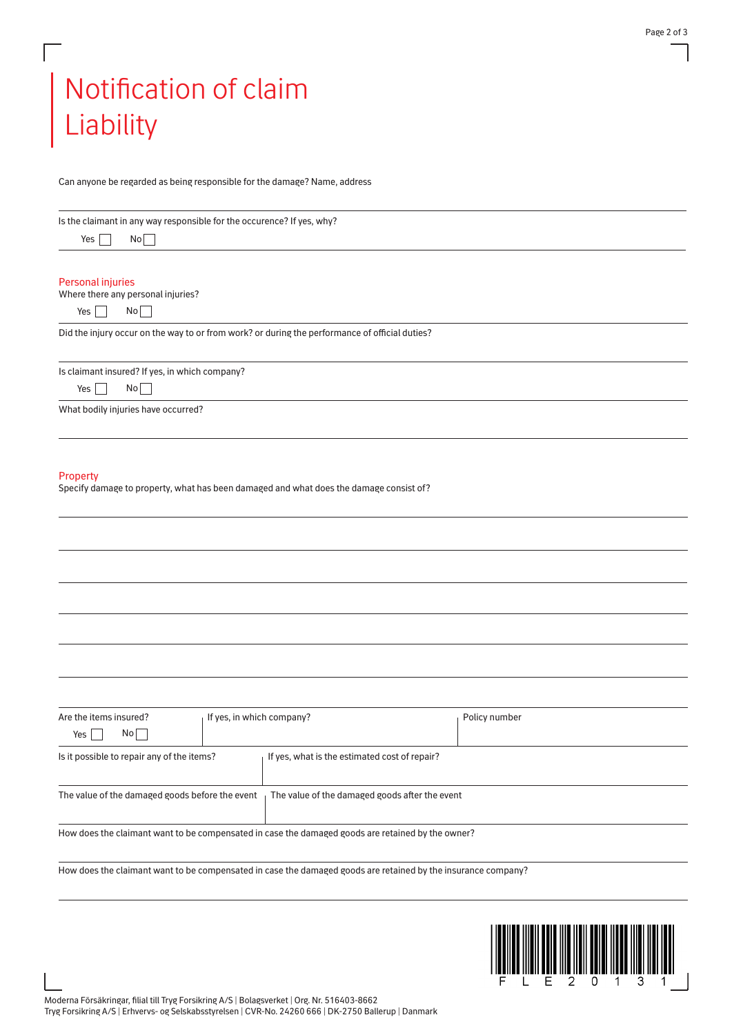## Notification of claim Liability

Can anyone be regarded as being responsible for the damage? Name, address

| Is the claimant in any way responsible for the occurence? If yes, why?<br>No<br>Yes                           |  |               |
|---------------------------------------------------------------------------------------------------------------|--|---------------|
| Personal injuries<br>Where there any personal injuries?<br>No<br>Yes  <br>$\blacksquare$                      |  |               |
| Did the injury occur on the way to or from work? or during the performance of official duties?                |  |               |
| Is claimant insured? If yes, in which company?<br>No<br>Yes                                                   |  |               |
| What bodily injuries have occurred?                                                                           |  |               |
| Property<br>Specify damage to property, what has been damaged and what does the damage consist of?            |  |               |
|                                                                                                               |  |               |
|                                                                                                               |  |               |
|                                                                                                               |  |               |
| Are the items insured?<br>If yes, in which company?<br>No <br>Yes                                             |  | Policy number |
| Is it possible to repair any of the items?<br>If yes, what is the estimated cost of repair?                   |  |               |
| The value of the damaged goods before the event<br>The value of the damaged goods after the event             |  |               |
| How does the claimant want to be compensated in case the damaged goods are retained by the owner?             |  |               |
| How does the claimant want to be compensated in case the damaged goods are retained by the insurance company? |  |               |